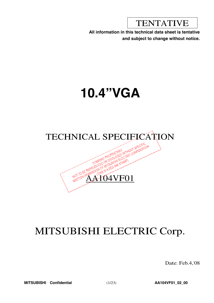TENTATIVE

**All information in this technical data sheet is tentative and subject to change without notice.**

# **10.4"VGA**



# MITSUBISHI ELECTRIC Corp.

Date: Feb.4,'08

**MITSUBISHI Confidential** (1/23) **AA104VF01\_02\_00**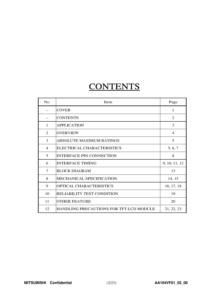# **CONTENTS**

| N <sub>0</sub> . | Item                                           | Page           |
|------------------|------------------------------------------------|----------------|
|                  | <b>COVER</b>                                   | 1              |
|                  | <b>CONTENTS</b>                                | 2              |
| $\mathbf{1}$     | <b>APPLICATION</b>                             | 3              |
| 2                | <b>OVERVIEW</b>                                | $\overline{4}$ |
| 3                | <b>ABSOLUTE MAXIMUM RATINGS</b>                | 5              |
| 4                | ELECTRICAL CHARACTERISTICS                     | 5, 6, 7        |
| 5                | <b>INTERFACE PIN CONNECTION</b>                | 8              |
| 6                | <b>INTERFACE TIMING</b>                        | 9, 10, 11, 12  |
| 7                | <b>BLOCK DIAGRAM</b>                           | 13             |
| 8                | MECHANICAL SPECIFICATION                       | 14, 15         |
| 9                | OPTICAL CHARACTERISTICS                        | 16, 17, 18     |
| 10               | <b>RELIABILITY TEST CONDITION</b>              | 19             |
| 11               | <b>OTHER FEATURE</b>                           | 20             |
| 12               | <b>HANDLING PRECAUTIONS FOR TFT-LCD MODULE</b> | 21, 22, 23     |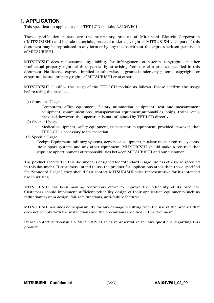# **1. APPLICATION**

This specification applies to color TFT-LCD module, AA104VF01.

These specification papers are the proprietary product of Mitsubishi Electric Corporation ("MITSUBISHI) and include materials protected under copyright of MITSUBISHI. No part of this document may be reproduced in any form or by any means without the express written permission of MITSUBISHI.

MITSUBISHI does not assume any liability for infringement of patents, copyrights or other intellectual property rights of third parties by or arising from use of a product specified in this document. No license, express, implied or otherwise, is granted under any patents, copyrights or other intellectual property rights of MITSUBISHI or of others.

MITSUBISHI classifies the usage of the TFT-LCD module as follows. Please confirm the usage before using the product.

(1) Standard Usage

Computers, office equipment, factory automation equipment, test and measurement equipment, communications, transportation equipment(automobiles, ships, trains, etc.), provided, however, that operation is not influenced by TFT-LCD directly.

(2) Special Usage

Medical equipment, safety equipment, transportation equipment, provided, however, that TFT-LCD is necessary to its operation.

(3) Specific Usage

Cockpit Equipment, military systems, aerospace equipment, nuclear reactor control systems, life support systems and any other equipment. MITSUBISHI should make a contract that stipulate apportionment of responsibilities between MITSUBISHI and our customer.

The product specified in this document is designed for "Standard Usage" unless otherwise specified in this document. If customers intend to use the product for applications other than those specified for "Standard Usage", they should first contact MITSUBISHI sales representative for it's intended use in writing.

MITSUBISHI has been making continuous effort to improve the reliability of its products. Customers should implement sufficient reliability design of their application equipments such as redundant system design, fail-safe functions, anti-failure features.

MITSUBISHI assumes no responsibility for any damage resulting from the use of the product that does not comply with the instructions and the precautions specified in this document.

Please contact and consult a MITSUBISHI sales representative for any questions regarding this product.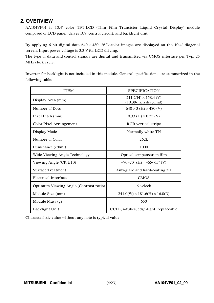# **2. OVERVIEW**

AA104VF01 is 10.4" color TFT-LCD (Thin Film Transistor Liquid Crystal Display) module composed of LCD panel, driver ICs, control circuit, and backlight unit.

By applying 6 bit digital data  $640 \times 480$ , 262k-color images are displayed on the 10.4" diagonal screen. Input power voltage is 3.3 V for LCD driving.

The type of data and control signals are digital and transmitted via CMOS interface per Typ. 25 MHz clock cycle.

Inverter for backlight is not included in this module. General specifications are summarized in the following table:

| <b>ITEM</b>                            | <b>SPECIFICATION</b>                                    |
|----------------------------------------|---------------------------------------------------------|
| Display Area (mm)                      | $211.2(H) \times 158.4$ (V)<br>$(10.39$ -inch diagonal) |
| Number of Dots                         | $640 \times 3$ (H) $\times 480$ (V)                     |
| Pixel Pitch (mm)                       | $0.33$ (H) $\times$ 0.33 (V)                            |
| <b>Color Pixel Arrangement</b>         | RGB vertical stripe                                     |
| Display Mode                           | Normally white TN                                       |
| Number of Color                        | 262k                                                    |
| Luminance $(cd/m2)$                    | 1000                                                    |
| Wide Viewing Angle Technology          | Optical compensation film                               |
| Viewing Angle ( $CR \ge 10$ )          | $-70-70^{\circ}$ (H) $-65-65^{\circ}$ (V)               |
| <b>Surface Treatment</b>               | Anti-glare and hard-coating 3H                          |
| <b>Electrical Interface</b>            | <b>CMOS</b>                                             |
| Optimum Viewing Angle (Contrast ratio) | 6 o'clock                                               |
| Module Size (mm)                       | $241.0(W) \times 181.6(H) \times 16.0(D)$               |
| Module Mass $(g)$                      | 650                                                     |
| <b>Backlight Unit</b>                  | CCFL, 4-tubes, edge-light, replaceable                  |

Characteristic value without any note is typical value.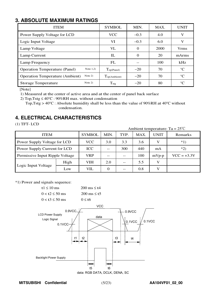# **3. ABSOLUTE MAXIMUM RATINGS**

| <b>ITEM</b>                                         | <b>SYMBOL</b>               | MIN.   | MAX. | <b>UNIT</b>     |
|-----------------------------------------------------|-----------------------------|--------|------|-----------------|
| Power Supply Voltage for LCD                        | <b>VCC</b>                  | $-0.3$ | 4.0  | V               |
| Logic Input Voltage                                 | VI                          | $-0.3$ | 6.0  | V               |
| Lamp Voltage                                        | VL                          | 0      | 2000 | <b>Vrms</b>     |
| Lamp Current                                        | IL                          | 0      | 20   | mArms           |
| Lamp Frequency                                      | FL                          |        | 100  | kHz             |
| Note $1,2)$<br><b>Operation Temperature (Panel)</b> | $\Gamma_{\text{op(Panel)}}$ | $-20$  | 70   | $^{\circ}C$     |
| Note $2)$<br><b>Operation Temperature (Ambient)</b> | $T_{\text{op(Ambient)}}$    | $-20$  | 70   | $^{\circ}C$     |
| Note $2)$<br><b>Storage Temperature</b>             | $T_{\text{stg}}$            | $-20$  | 80   | $\rm ^{\circ}C$ |

[Note]

1) Measured at the center of active area and at the center of panel back surface

2) Top, Tstg  $\leq 40^{\circ}$ C : 90%RH max. without condensation

<sup>T</sup>op,Tstg <sup>&</sup>gt; <sup>40</sup>°<sup>C</sup> : Absolute humidity shall be less than the value of <sup>90</sup>%RH at <sup>40</sup>°<sup>C</sup> without condensation.

# **4. ELECTRICAL CHARACTERISTICS**

(1) TFT- LCD

Ambient temperature: Ta <sup>=</sup> 25℃

| <b>ITEM</b>                     | <b>SYMBOL</b> | MIN.       | TYP.     | MAX. | <b>UNIT</b> | Remarks      |               |
|---------------------------------|---------------|------------|----------|------|-------------|--------------|---------------|
| Power Supply Voltage for LCD    | <b>VCC</b>    | 3.0        | 3.3      | 3.6  |             | $*1)$        |               |
| Power Supply Current for LCD    | ICC           |            | 300      | 440  | mA          | $*2)$        |               |
| Permissive Input Ripple Voltage |               | <b>VRP</b> | $ -$     |      | 100         | $mVp-p$      | $VCC = +3.3V$ |
|                                 | High          | VIH        | 2.0      |      | 5.5         | $\mathbf{V}$ |               |
| Logic Input Voltage             | Low           | VIL        | $\Omega$ | --   | 0.8         |              |               |

\*1) Power and signals sequence:



**MITSUBISHI Confidential** (5/23) **AA104VF01\_02\_00**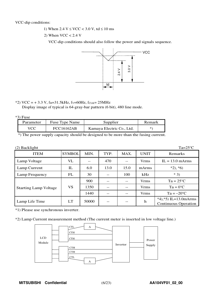VCC-dip conditions:

- 1) When  $2.4 \text{ V} \leq \text{VCC} < 3.0 \text{ V}$ , td  $\leq 10 \text{ ms}$
- 2) When VCC < 2.4 V

VCC-dip conditions should also follow the power and signals sequence.



### $*2)$  VCC = + 3.3 V, f<sub>H</sub>=31.5kHz, f<sub>V</sub>=60Hz, f<sub>CLK</sub>= 25MHz

Display image of typical is 64-gray-bar pattern (6 bit), 480 line mode.

\*3) Fuse

| Parameter | Fuse Type Name    | Supplier                  | Remark |
|-----------|-------------------|---------------------------|--------|
| VCC-      | <b>FCC16162AB</b> | Kamaya Electric Co., Ltd. | *`     |

\*) The power supply capacity should be designed to be more than the fusing current.

| $(2)$ Backlight              |               |       |      |       |             | $Ta=25^{\circ}C$                                       |
|------------------------------|---------------|-------|------|-------|-------------|--------------------------------------------------------|
| <b>ITEM</b>                  | <b>SYMBOL</b> | MIN.  | TYP. | MAX.  | <b>UNIT</b> | Remarks                                                |
| Lamp Voltage                 | VL            | $- -$ | 470  | $- -$ | <b>Vrms</b> | $IL = 13.0$ mArms                                      |
| Lamp Current                 | $_{\rm IL}$   | 6.0   | 13.0 | 15.0  | mArms       | $*2, *6$                                               |
| Lamp Frequency               | FL            | 30    |      | 100   | kHz         | $*3)$                                                  |
|                              |               | 900   |      |       | <b>Vrms</b> | $Ta = 25^{\circ}C$                                     |
| <b>Starting Lamp Voltage</b> | VS            | 1350  |      | --    | <b>Vrms</b> | $Ta = 0^{\circ}C$                                      |
|                              |               | 1440  |      |       | <b>Vrms</b> | $Ta = -20^{\circ}C$                                    |
| Lamp Life Time               | LT            | 50000 |      | --    | h           | $*4, *5$ ) IL=13.0mArms<br><b>Continuous Operation</b> |

\*1) Please use synchronous inverter.

\*2) Lamp Current measurement method (The current meter is inserted in low voltage line.)

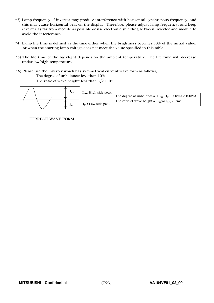- \*3) Lamp frequency of inverter may produce interference with horizontal synchronous frequency, and this may cause horizontal beat on the display. Therefore, please adjust lamp frequency, and keep inverter as far from module as possible or use electronic shielding between inverter and module to avoid the interference.
- \*4) Lamp life time is defined as the time either when the brightness becomes 50% of the initial value, or when the starting lamp voltage does not meet the value specified in this table.
- \*5) The life time of the backlight depends on the ambient temperature. The life time will decrease under low/high temperature.
- \*6) Please use the inverter which has symmetrical current wave form as follows,

The degree of unbalance: less than 10%

The ratio of wave height: less than  $\sqrt{2} \pm 10\%$ 

| $\mathbf{1}_{\text{PH}}$ | $I_{\text{PH}}$ : High side peak |                                                                                                 |
|--------------------------|----------------------------------|-------------------------------------------------------------------------------------------------|
|                          |                                  | The degree of unbalance = $ I_{\text{pH}} \cdot I_{\text{pI}}  /  I_{\text{rms}} \times 100\% $ |
| $P_{PL}$                 | $I_{PI}$ : Low side peak         | The ratio of wave height = $I_{\text{pH}}$ (or $I_{\text{pI}}$ ) / Irms                         |
|                          |                                  |                                                                                                 |

CURRENT WAVE FORM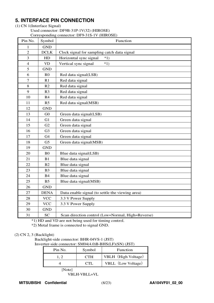# **5. INTERFACE PIN CONNECTION**

### (1) CN 1(Interface Signal)

Used connector: DF9B-31P-1V(32) (HIROSE) Corresponding connector: DF9-31S-1V (HIROSE)

| Pin No.          | Symbol         | Corresponding connector: DF9-31S-1V (HIROSE)<br>Function |
|------------------|----------------|----------------------------------------------------------|
| 1                | <b>GND</b>     |                                                          |
| $\overline{2}$   | DCLK           | Clock signal for sampling catch data signal              |
| 3                | HD             | Horizontal sync signal<br>$*1)$                          |
| $\overline{4}$   | <b>VD</b>      | Vertical sync signal<br>$*1)$                            |
| 5                | <b>GND</b>     |                                                          |
| 6                | R <sub>0</sub> | Red data signal(LSB)                                     |
| $\boldsymbol{7}$ | R1             | Red data signal                                          |
| 8                | R2             | Red data signal                                          |
| 9                | R <sub>3</sub> | Red data signal                                          |
| 10               | R4             | Red data signal                                          |
| 11               | R <sub>5</sub> | Red data signal(MSB)                                     |
| 12               | <b>GND</b>     |                                                          |
| 13               | G <sub>0</sub> | Green data signal(LSB)                                   |
| 14               | G1             | Green data signal                                        |
| 15               | G2             | Green data signal                                        |
| 16               | G <sub>3</sub> | Green data signal                                        |
| 17               | G4             | Green data signal                                        |
| 18               | G <sub>5</sub> | Green data signal(MSB)                                   |
| 19               | <b>GND</b>     |                                                          |
| 20               | B <sub>0</sub> | Blue data signal(LSB)                                    |
| 21               | B1             | Blue data signal                                         |
| 22               | B2             | Blue data signal                                         |
| 23               | B <sub>3</sub> | Blue data signal                                         |
| 24               | <b>B4</b>      | Blue data signal                                         |
| 25               | B <sub>5</sub> | Blue data signal(MSB)                                    |
| 26               | <b>GND</b>     |                                                          |
| 27               | <b>DENA</b>    | Data enable signal (to settle the viewing area)          |
| 28               | <b>VCC</b>     | 3.3 V Power Supply                                       |
| 29               | <b>VCC</b>     | 3.3 V Power Supply                                       |
| 30               | <b>GND</b>     |                                                          |
| 31               | <b>SC</b>      | Scan direction control (Low=Normal, High=Reverse)        |

\*1) HD and VD are not being used for timing control.

\*2) Metal frame is connected to signal GND.

# (2) CN 2, 3 (Backlight)

Backlight-side connector: BHR-04VS-1 (JST) Inverter-side connector: SM04(4.0)B-BHS(LF)(SN) (JST)

| Pin No. | Symbol     | Function            |
|---------|------------|---------------------|
|         | <b>CTH</b> | VBLH (High Voltage) |
|         | CTI.       | VBLL (Low Voltage)  |

[Note]

VBLH-VBLL=VL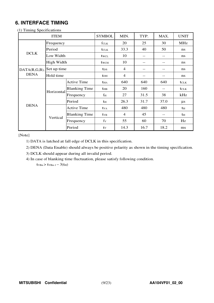# **6. INTERFACE TIMING**

| $(1)$ 1 minus opeen cations | <b>ITEM</b>       |                      | <b>SYMBOL</b>           | MIN.           | TYP. | MAX. | <b>UNIT</b>    |
|-----------------------------|-------------------|----------------------|-------------------------|----------------|------|------|----------------|
|                             | Frequency         |                      | fclk                    | 20             | 25   | 30   | <b>MHz</b>     |
|                             | Period            |                      | <b>t</b> CLK            | 33.3           | 40   | 50   | ns             |
| <b>DCLK</b>                 | Low Width         |                      | twcl                    | 10             | --   | --   | ns             |
|                             | <b>High Width</b> |                      | twch                    | 10             |      | --   | ns             |
| DATA(R,G,B), Set up time    |                   |                      | t <sub>DS</sub>         | $\overline{4}$ |      | --   | ns             |
| <b>DENA</b>                 | Hold time         |                      | $t$ DH                  | $\overline{4}$ |      | --   | ns             |
|                             |                   | <b>Active Time</b>   | <b>t</b> HA             | 640            | 640  | 640  | tclk           |
|                             |                   | <b>Blanking Time</b> | <b>the</b>              | 20             | 160  |      | <b>t</b> CLK   |
|                             | Horizontal        | Frequency            | $f_{\rm H}$             | 27             | 31.5 | 38   | kHz            |
|                             |                   | Period               | th                      | 26.3           | 31.7 | 37.0 | $\mu$ s        |
| <b>DENA</b>                 |                   | <b>Active Time</b>   | <b>t</b> v <sub>A</sub> | 480            | 480  | 480  | t <sub>H</sub> |
|                             |                   | <b>Blanking Time</b> | $t_{VB}$                | $\overline{4}$ | 45   | --   | th             |
|                             | Vertical          | Frequency            | $f_V$                   | 55             | 60   | 70   | Hz             |
|                             |                   | Period               | ty                      | 14.3           | 16.7 | 18.2 | ms             |

(1) Timing Specifications

[Note]

1) DATA is latched at fall edge of DCLK in this specification.

2) DENA (Data Enable) should always be positive polarity as shown in the timing specification.

3) DCLK should appear during all invalid period.

4) In case of blanking time fluctuation, please satisfy following condition.

 $t_{VBn}$  >  $t_{VBn-1}$  – 3( $t_{H}$ )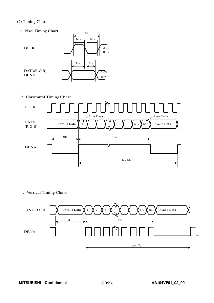#### (2) Timing Chart

a. Pixel Timing Chart



 $t_{\scriptstyle{\text{CLK}}}$ 

b. Horizontal Timing Chart



c. Vertical Timing Chart

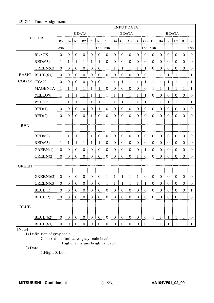#### (3) Color Data Assignment

|                   |                |                  |                      |                   |                                              |                                                |                                       |                  |                  | <b>INPUT DATA</b>                            |                       |                  |                  |                                                                                         |                             |                  |                  |                  |                                  |
|-------------------|----------------|------------------|----------------------|-------------------|----------------------------------------------|------------------------------------------------|---------------------------------------|------------------|------------------|----------------------------------------------|-----------------------|------------------|------------------|-----------------------------------------------------------------------------------------|-----------------------------|------------------|------------------|------------------|----------------------------------|
|                   |                |                  |                      | R DATA            |                                              |                                                |                                       |                  |                  | <b>G DATA</b>                                |                       |                  |                  |                                                                                         |                             | <b>B DATA</b>    |                  |                  |                                  |
|                   | <b>COLOR</b>   |                  |                      |                   |                                              |                                                |                                       |                  |                  |                                              |                       |                  |                  | R5   R4   R3   R2   R1   R0   G5   G4   G3   G2   G1   G0   B5   B4   B3   B2   B1   B0 |                             |                  |                  |                  |                                  |
|                   |                | MSB              |                      |                   |                                              |                                                | LSB MSB                               |                  |                  |                                              |                       |                  | LSB MSB          |                                                                                         |                             |                  |                  |                  | LSB:                             |
|                   | <b>BLACK</b>   | 0 <sup>1</sup>   | $\mathbf{0}$         | $\overline{0}$    | $\frac{1}{2}$ 0                              | $\boldsymbol{0}$                               | $\begin{array}{c} 0 \\ 0 \end{array}$ | $\mathbf{0}$     | $\boldsymbol{0}$ | $\begin{matrix} 1 & 0 \\ 0 & 0 \end{matrix}$ | $\boldsymbol{0}$      | $\boldsymbol{0}$ | $\overline{0}$   | $\overline{0}$                                                                          | Ŧ.<br>$\boldsymbol{0}$      | $\mathbf{0}$     | $\boldsymbol{0}$ | $\overline{0}$   | $\pm 0$                          |
|                   | RED(63)        | $\mathbf{1}$     | -1                   | -1                | - 1                                          | $\mathbf{1}$                                   | $\vdash$ 1                            | $\boldsymbol{0}$ | $\boldsymbol{0}$ | $\bf{0}$<br>Ĩ.                               | $\boldsymbol{0}$      | $\boldsymbol{0}$ | $\overline{0}$   | $\mathbf{0}$                                                                            | $\boldsymbol{0}$<br>Ĩ.      | $\mathbf{0}$     | $\boldsymbol{0}$ | $\mathbf{0}$     | $\bf{0}$                         |
|                   | GREEN(63)      | $0 \t0$          |                      | $\overline{0}$    | $\begin{matrix} 1 & 0 \\ 0 & 0 \end{matrix}$ | $\overline{0}$<br>Ŧ.                           | $\begin{matrix} 1 & 0 \end{matrix}$   | $\mathbf{1}$     | $\overline{1}$   | $\frac{1}{2}$ 1                              | $\frac{1}{2}$ 1<br>÷  | $\mathbf{1}$     | $\overline{1}$   | $\overline{0}$                                                                          | $\boldsymbol{0}$<br>ŧ.<br>ŧ | $\mathbf{0}$     | $\boldsymbol{0}$ | $\bf{0}$         | $\vdots$ 0                       |
| <b>BASIC</b>      | BLUE(63)       |                  | $0 \nvert 0$         |                   | $0 \pm 0$                                    | $\begin{bmatrix} 0 & 1 \\ 0 & 0 \end{bmatrix}$ |                                       |                  |                  | $0 \mid 0 \mid 0 \mid 0 \mid 0 \mid 0$       |                       |                  |                  | $1 \nmid 1$                                                                             |                             | $\pm 1$          | $\pm 1$          | -1               | $\pm$ 1.                         |
| <b>COLOR</b> CYAN |                | 0 <sup>1</sup>   | $\boldsymbol{0}$     | $\mathbf{0}$      | $\frac{1}{2}$ 0                              | $\mathbf{0}$<br>÷                              | $\vdots$ 0                            | $1 \nmid 1$      |                  | ÷<br>$\frac{1}{2}$ 1                         | $\overline{1}$        | $\frac{1}{2}$    | $\pm 1$          | $1 \nmid 1$                                                                             |                             | $\mathbf{1}$     | $\frac{1}{2}$    | - 1              | $\blacksquare$                   |
|                   | <b>MAGENTA</b> | -1               | -1                   | -1                | -1                                           | $\mathbf{1}$                                   | $\vdash 1$                            | $\boldsymbol{0}$ | $\boldsymbol{0}$ | $\mathbf{0}$<br>ŧ.                           | $\boldsymbol{0}$      | $\boldsymbol{0}$ | $\vdots$ 0       | 1                                                                                       | $\mathbf{1}$                | -1               | -1               | -1               | $\pm 1$                          |
|                   | <b>YELLOW</b>  | 1:               | -1                   | $\pm$ 1           | 1<br>Ŧ.<br>÷                                 | $\mathbf{1}$                                   | $\frac{1}{2}$                         | 1 <sup>1</sup>   | $\overline{1}$   | $\mathbf{1}$<br>÷<br>ŧ.                      | $\mathbf{1}$          | $\mathbf{1}$     | $\mathbf{1}$     | $\boldsymbol{0}$                                                                        | $\mathbf{0}$<br>Ŧ.          | $\mathbf{0}$     | $\boldsymbol{0}$ | $\boldsymbol{0}$ | $\begin{array}{c} 0 \end{array}$ |
|                   | <b>WHITE</b>   | -1               | -1                   | $\mathbf{1}$      | $\mathbf{1}$                                 | $\mathbf{1}$                                   | $\vdash$ 1                            | 1                | $\mathbf{1}$     | ŧ.<br>$\mathbf{1}$                           | $\mathbf{1}$          | $\mathbf{1}$     | $\mathbf{1}$     | 1                                                                                       | 1                           | -1               | $\mathbf{1}$     | -1               | - 1                              |
|                   | RED(1)         | $\overline{0}$   | $\mathbf{0}$         | $\mathbf{0}$      | $\mathbf{0}$                                 | $\mathbf{0}$                                   | -1                                    | $\overline{0}$   | $\overline{0}$   | $\boldsymbol{0}$                             | $\boldsymbol{0}$      | $\boldsymbol{0}$ | $\boldsymbol{0}$ | $\overline{0}$                                                                          | $\overline{0}$              | $\boldsymbol{0}$ | $\boldsymbol{0}$ | $\mathbf{0}$     | $\mathbf{0}$                     |
|                   | RED(2)         | $\overline{0}$   | $\overline{0}$       | $\mathbf{0}$      | $\mathbf{0}$                                 | 1                                              | $\boldsymbol{0}$                      | $\mathbf{0}$     | $\overline{0}$   | $\mathbf{0}$                                 | $\mathbf{0}$          | $\boldsymbol{0}$ | $\boldsymbol{0}$ | $\overline{0}$                                                                          | $\mathbf{0}$                | $\mathbf{0}$     | $\mathbf{0}$     | $\overline{0}$   | $\boldsymbol{0}$                 |
|                   |                |                  |                      |                   |                                              |                                                |                                       |                  |                  |                                              |                       |                  |                  |                                                                                         |                             |                  |                  |                  |                                  |
| <b>RED</b>        |                |                  |                      |                   |                                              |                                                |                                       |                  |                  |                                              |                       |                  |                  |                                                                                         |                             |                  |                  |                  |                                  |
|                   | RED(62)        | -1               | $\mathbf{1}$         | $\mathbf{1}$      | $\mathbf{1}$                                 | $\mathbf{1}$                                   | $\boldsymbol{0}$                      | $\overline{0}$   | $\overline{0}$   | $\mathbf{0}$                                 | $\mathbf{0}$          | $\boldsymbol{0}$ | $\overline{0}$   | $\mathbf{0}$                                                                            | $\mathbf{0}$                | $\boldsymbol{0}$ | $\boldsymbol{0}$ | $\overline{0}$   | $\theta$                         |
|                   | RED(63)        | 1                | 1                    | 1                 | 1                                            | 1                                              | 1                                     | $\boldsymbol{0}$ | $\mathbf{0}$     | $\boldsymbol{0}$                             | $\mathbf{0}$          | $\mathbf{0}$     | $\boldsymbol{0}$ | $\overline{0}$                                                                          | $\mathbf{0}$                | $\mathbf{0}$     | $\mathbf{0}$     | $\mathbf{0}$     | $\theta$                         |
|                   | GREEN(1)       | $\mathbf{0}$     | $\boldsymbol{0}$     | $\boldsymbol{0}$  | $\overline{0}$                               | $\boldsymbol{0}$                               | $\boldsymbol{0}$                      | $\mathbf{0}$     | $\boldsymbol{0}$ | $\boldsymbol{0}$                             | $\boldsymbol{0}$      | $\boldsymbol{0}$ | $\mathbf{1}$     | $\mathbf{0}$                                                                            | $\boldsymbol{0}$            | $\boldsymbol{0}$ | $\boldsymbol{0}$ | $\boldsymbol{0}$ | $\boldsymbol{0}$                 |
|                   | GREEN(2)       | 0 <sup>1</sup>   | $\boldsymbol{0}$     | $\boldsymbol{0}$  | $\boldsymbol{0}$                             | $\boldsymbol{0}$                               | $\overline{0}$<br>ŧ                   | $\boldsymbol{0}$ | $\boldsymbol{0}$ | $\boldsymbol{0}$<br>Ī<br>ŧ                   | $\boldsymbol{0}$      | 1                | $\boldsymbol{0}$ | $\overline{0}$                                                                          | $\mathbf{0}$<br>ŧ.          | $\mathbf{0}$     | $\boldsymbol{0}$ | $\boldsymbol{0}$ | $\overline{0}$                   |
|                   |                |                  |                      |                   |                                              |                                                |                                       |                  |                  |                                              |                       |                  |                  |                                                                                         |                             |                  |                  |                  |                                  |
| <b>GREEN</b>      |                |                  |                      |                   |                                              |                                                |                                       |                  |                  |                                              |                       |                  |                  |                                                                                         |                             |                  |                  |                  |                                  |
|                   | GREEN(62)      | 0 <sup>1</sup>   | $\overline{0}$       | $\mathbf{0}$<br>÷ | $\overline{0}$                               | $\overline{0}$<br>÷                            | $\begin{array}{c} 0 \\ 0 \end{array}$ |                  | $1 \quad 1$      | ÷<br>$\pm 1$                                 | ÷Ē.<br>$\mathbf{1}$   | -1               | $\overline{0}$   | $0 \t0$                                                                                 |                             | $\boldsymbol{0}$ | $\boldsymbol{0}$ | $\overline{0}$   | $\overline{0}$                   |
|                   | GREEN(63)      | 0 <sup>1</sup>   | $\overline{0}$<br>-9 |                   |                                              | 0 0 0 0                                        | $\boldsymbol{0}$                      | $1\,$            |                  | $1 \mid 1 \mid$                              | $\,$ $\,$ $\,$<br>- 1 | $\mathbf{1}$     | $\,$ 1 $\,$      |                                                                                         | $0 \nvert 0$<br>÷           | $\boldsymbol{0}$ | 0                | $\overline{0}$   | $\bf{0}$                         |
|                   | BLUE(1)        | $\boldsymbol{0}$ | $\boldsymbol{0}$     | $\mathbf{0}$      | $\boldsymbol{0}$                             | $\bf{0}$                                       | $\boldsymbol{0}$                      | $\boldsymbol{0}$ | $\boldsymbol{0}$ | $\boldsymbol{0}$                             | $\boldsymbol{0}$      | $\boldsymbol{0}$ | $\mathbf{0}$     | $\boldsymbol{0}$                                                                        | $\boldsymbol{0}$            | $\mathbf{0}$     | $\boldsymbol{0}$ | $\boldsymbol{0}$ | $\mathbf{1}$                     |
|                   | BLUE(2)        | $\mathbf{0}$     | $\mathbf{0}$         | $\mathbf{0}$      | $\boldsymbol{0}$                             | $\boldsymbol{0}$                               | $\boldsymbol{0}$                      | $\mathbf{0}$     | $\mathbf{0}$     | $\boldsymbol{0}$                             | $\boldsymbol{0}$      | $\boldsymbol{0}$ | $\boldsymbol{0}$ | $\overline{0}$                                                                          | $\boldsymbol{0}$            | $\mathbf{0}$     | $\boldsymbol{0}$ | $\mathbf{1}$     | $\boldsymbol{0}$                 |
|                   |                |                  |                      |                   |                                              |                                                |                                       |                  |                  |                                              |                       |                  |                  |                                                                                         |                             |                  |                  |                  |                                  |
| <b>BLUE</b>       |                |                  |                      |                   |                                              |                                                |                                       |                  |                  |                                              |                       |                  |                  |                                                                                         |                             |                  |                  |                  |                                  |
|                   | BLUE(62)       | $\boldsymbol{0}$ | $\mathbf{0}$         | $\overline{0}$    | $\boldsymbol{0}$                             | $\boldsymbol{0}$                               | $\mathbf{0}$                          | $\mathbf{0}$     | $\overline{0}$   | $\boldsymbol{0}$                             | $\boldsymbol{0}$      | $\boldsymbol{0}$ | $\boldsymbol{0}$ | $\mathbf{1}$                                                                            | $\mathbf{1}$                | $\mathbf{1}$     | $\mathbf{1}$     | 1                | $\boldsymbol{0}$                 |
|                   | BLUE(63)       | $\overline{0}$   | $\mathbf{0}$         | $\overline{0}$    | $\boldsymbol{0}$                             | $\boldsymbol{0}$                               | $\boldsymbol{0}$                      | $\mathbf{0}$     | $\overline{0}$   | $\mathbf{0}$                                 | $\boldsymbol{0}$      | $\boldsymbol{0}$ | $\boldsymbol{0}$ | 1 <sub>1</sub>                                                                          | $\mathbf{1}$                | $\mathbf{1}$     | $\mathbf{1}$     | 1                | $\mathbf{1}$                     |

[Note]

1) Definition of gray scale

Color (n) ---n indicates gray scale level.

Higher n means brighter level.

2) Data

1:High, 0: Low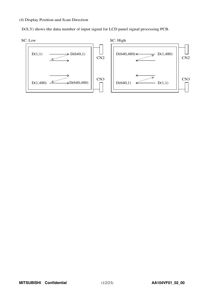#### (4) Display Position and Scan Direction

D(X,Y) shows the data number of input signal for LCD panel signal processing PCB.

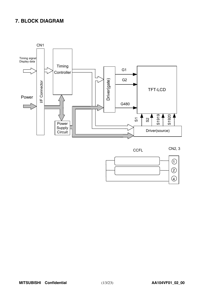# **7. BLOCK DIAGRAM**







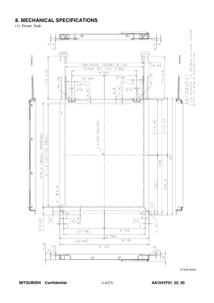# **8. MECHANICAL SPECIFICATIONS**

(1) Front Side



MITSUBISHI Confidential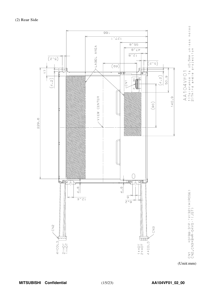(2) Rear Side



(Unit:mm)

**MITSUBISHI Confidential** (15/23) **AA104VF01\_02\_00**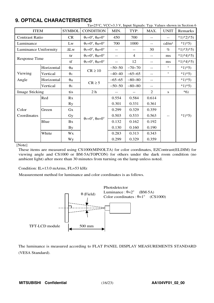# **9. OPTICAL CHARACTERISTICS**

| Ta=25°C, VCC=3.3 V, Input Signals: Typ. Values shown in Section 6 |            |                       |                                                                       |          |                |        |                   |            |  |
|-------------------------------------------------------------------|------------|-----------------------|-----------------------------------------------------------------------|----------|----------------|--------|-------------------|------------|--|
| <b>ITEM</b>                                                       |            | <b>SYMBOL</b>         | <b>CONDITION</b>                                                      | MIN.     | TYP.           | MAX.   | <b>UNIT</b>       | Remarks    |  |
| <b>Contrast Ratio</b>                                             |            | CR                    | $\theta_V = 0^\circ$ , $\theta_H = 0^\circ$                           | 450      | 700            | $- -$  | $-$               | $*1)*2*5$  |  |
| Luminance                                                         |            | Lw                    | $\theta_V = 0^\circ$ , $\theta_H = 0^\circ$                           | 700      | 1000           | $-$    | cd/m <sup>2</sup> | $*1*5$     |  |
| Luminance Uniformity                                              |            | $\Delta L$ w          | $\theta$ <sub>V</sub> = $0^\circ$ , $\theta$ <sub>H</sub> = $0^\circ$ | $-$ -    | $-$            | 30     | $\%$              | $*1)*3*5)$ |  |
|                                                                   |            | tr                    | $\theta$ <sub>V</sub> = $0^\circ$ , $\theta$ <sub>H</sub> = $0^\circ$ | $-$ -    | $\overline{4}$ | $-\,-$ | ms                | $*1)*4*5)$ |  |
| <b>Response Time</b>                                              |            | tf                    | $\theta$ <sub>V</sub> = $0^\circ$ , $\theta$ <sub>H</sub> = $0^\circ$ | --       | 12             | $-\,-$ | ms                | $*1)*4*5$  |  |
|                                                                   | Horizontal | $\theta_{\rm H}$      | $CR \ge 10$                                                           | $-50-50$ | $-70-70$       | $-$    | $\circ$           | $*1*5)$    |  |
| Viewing                                                           | Vertical   | $\theta$ <sub>V</sub> |                                                                       | $-40-40$ | $-65 - 65$     | $-$    | $\circ$           | $*1*5)$    |  |
| Angle                                                             | Horizontal | $\theta_{\rm H}$      | $CR \geq 5$                                                           | $-65-65$ | $-80 - 80$     | $- -$  |                   | $*1*5$     |  |
|                                                                   | Vertical   | $\theta$ v            |                                                                       | $-50-50$ | $-80 - 80$     | --     |                   | $*1*5)$    |  |
| <b>Image Sticking</b>                                             |            | tis                   | 2 <sub>h</sub>                                                        |          |                | 2      | S                 | $*6)$      |  |
|                                                                   | Red        | Rx                    |                                                                       | 0.554    | 0.584          | 0.614  |                   |            |  |
|                                                                   |            | <b>Ry</b>             |                                                                       | 0.301    | 0.331          | 0.361  |                   |            |  |
| Color                                                             | Green      | Gx                    |                                                                       | 0.299    | 0.329          | 0.359  |                   |            |  |
| Coordinates                                                       |            | Gy                    | $\theta$ <sub>V</sub> = $0^\circ$ , $\theta$ <sub>H</sub> = $0^\circ$ | 0.503    | 0.533          | 0.563  |                   | $*1*5)$    |  |
|                                                                   | Blue       | Bx                    |                                                                       | 0.132    | 0.162          | 0.192  |                   |            |  |
|                                                                   |            |                       |                                                                       | 0.130    | 0.160          | 0.190  |                   |            |  |
|                                                                   | White      | Wx                    |                                                                       | 0.283    | 0.313          | 0.343  |                   |            |  |
|                                                                   |            | Wy                    |                                                                       | 0.299    | 0.329          | 0.359  |                   |            |  |

[Note]

These items are measured using CS1000(MINOLTA) for color coordinates, EZContrast(ELDIM) for viewing angle and CS1000 or BM-5A(TOPCON) for others under the dark room condition (no ambient light) after more than 30 minutes from turning on the lamp unless noted.

Condition: IL=13.0 mArms, FL=53 kHz

Measurement method for luminance and color coordinates is as follows.



The luminance is measured according to FLAT PANEL DISPLAY MEASUREMENTS STANDARD (VESA Standard).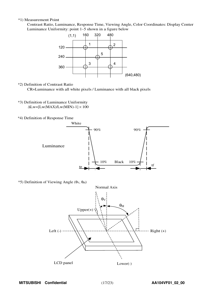#### \*1) Measurement Point

Contrast Ratio, Luminance, Response Time, Viewing Angle, Color Coordinates: Display Center Luminanc<sup>e</sup> Uniformity: point <sup>1</sup>∼<sup>5</sup> shown in a figure belo<sup>w</sup>



\*2) Definition of Contrast Ratio

CR=Luminance with all white pixels / Luminance with all black pixels

- \*3) Definition of Luminance Uniformity  $\Delta$ Lw=[Lw(MAX)/Lw(MIN)-1]  $\times$  100
- \*4) Definition of Response Time



 $*$ 5) Definition of Viewing Angle (θ<sub>V</sub>, θ<sub>H</sub>)

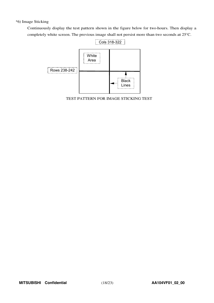### \*6) Image Sticking

Continuously display the test pattern shown in the figure below for two-hours. Then display a completely white screen. The previous image shall not persist more than two seconds at 25°C.



TEST PATTERN FOR IMAGE STICKING TEST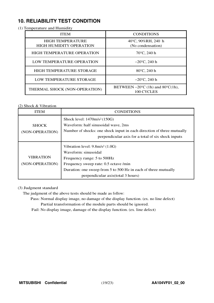# **10. RELIABILITY TEST CONDITION**

### (1) Temperature and Humidity

| <b>ITEM</b>                                               | <b>CONDITIONS</b>                                                   |
|-----------------------------------------------------------|---------------------------------------------------------------------|
| <b>HIGH TEMPERATURE</b><br><b>HIGH HUMIDITY OPERATION</b> | 40°C, 90%RH, 240 h<br>(No condensation)                             |
| <b>HIGH TEMPERATURE OPERATION</b>                         | $70^{\circ}$ C, 240 h                                               |
| LOW TEMPERATURE OPERATION                                 | $-20^{\circ}$ C, 240 h                                              |
| HIGH TEMPERATURE STORAGE                                  | $80^{\circ}$ C, 240 h                                               |
| LOW TEMPERATURE STORAGE                                   | $-20^{\circ}$ C, 240 h                                              |
| THERMAL SHOCK (NON-OPERATION)                             | BETWEEN $-20^{\circ}$ C (1h) and 80 $^{\circ}$ C(1h),<br>100 CYCLES |

# (2) Shock & Vibration

| ITEM             | <b>CONDITIONS</b>                                                     |
|------------------|-----------------------------------------------------------------------|
|                  | Shock level: 1470m/s <sup>2</sup> (150G)                              |
| <b>SHOCK</b>     | Waveform: half sinusoidal wave, 2ms                                   |
| (NON-OPERATION)  | Number of shocks: one shock input in each direction of three mutually |
|                  | perpendicular axis for a total of six shock inputs                    |
|                  | Vibration level: $9.8m/s2$ (1.0G)                                     |
|                  | Waveform: sinusoidal                                                  |
| <b>VIBRATION</b> | Frequency range: 5 to 500Hz                                           |
| (NON-OPERATION)  | Frequency sweep rate: 0.5 octave /min                                 |
|                  | Duration: one sweep from 5 to 500 Hz in each of three mutually        |
|                  | perpendicular axis (total 3 hours)                                    |

#### (3) Judgment standard

The judgment of the above tests should be made as follow:

- Pass: Normal display image, no damage of the display function. (ex. no line defect) Partial transformation of the module parts should be ignored.
- Fail: No display image, damage of the display function. (ex. line defect)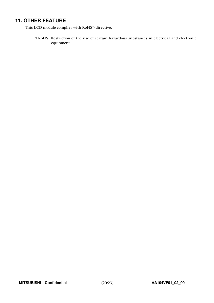# **11. OTHER FEATURE**

This LCD module complies with RoHS\*) directive.

\*) RoHS: Restriction of the use of certain hazardous substances in electrical and electronic equipment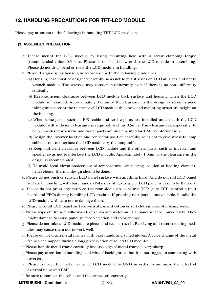# **12. HANDLING PRECAUTIONS FOR TFT-LCD MODULE**

Please pay attention to the followings in handling TFT-LCD products;

### **(1) ASSEMBLY PRECAUTION**

- a. Please mount the LCD module by using mounting hole with a screw clamping torque (recommended value: 0.3 Nm). Please do not bend or wrench the LCD module in assembling. Please do not drop, bend or twist the LCD module in handling.
- b. Please design display housing in accordance with the following guide lines.
	- (a) Housing case must be designed carefully so as not to put stresses on LCD all sides and not to wrench module. The stresses may cause non-uniformity even if there is no non-uniformity statically.
	- (b) Keep sufficient clearance between LCD module back surface and housing when the LCD module is mounted. Approximately 1.0mm of the clearance in the design is recommended taking into account the tolerance of LCD module thickness and mounting structure height on the housing.
	- (c) When some parts, such as, FPC cable and ferrite plate, are installed underneath the LCD module, still sufficient clearance is required, such as 0.5mm. This clearance is, especially, to be reconsidered when the additional parts are implemented for EMI countermeasure.
	- (d) Design the inverter location and connector position carefully so as not to give stress to lamp cable, or not to interface the LCD module by the lamp cable.
	- (e) Keep sufficient clearance between LCD module and the others parts, such as inverter and speaker so as not to interface the LCD module. Approximately 1.0mm of the clearance in the design is recommended.
	- (f) To avoid local elevation/decrease of temperature, considering location of heating element, heat release, thermal design should be done.
- c. Please do not push or scratch LCD panel surface with anything hard. And do not soil LCD panel surface by touching with bare hands. (Polarizer film, surface of LCD panel is easy to be flawed.)
- d. Please do not press any parts on the rear side such as source TCP, gate TCP, control circuit board and FPCs during handling LCD module. If pressing rear part is unavoidable, handle the LCD module with care not to damage them.
- e. Please wipe off LCD panel surface with absorbent cotton or soft cloth in case of it being soiled.
- f. Please wipe off drops of adhesives like saliva and water on LCD panel surface immediately. They might damage to cause panel surface variation and color change.
- g. Please do not take a LCD module to pieces and reconstruct it. Resolving and reconstructing modules may cause them not to work well.
- h. Please do not touch metal frames with bare hands and soiled gloves. A color change of the metal frames can happen during a long preservation of soiled LCD modules.
- i. Please handle metal frame carefully because edge of metal frame is very sharp.
- j. Please pay attention to handling lead wire of backlight so that it is not tugged in connecting with inverter.
- k. Please connect the metal frame of LCD module to GND in order to minimize the effect of external noise and EMI.
- l. Be sure to connect the cables and the connecters correctly.
- **MITSUBISHI Confidential** (21/23) **AA104VF01\_02\_00**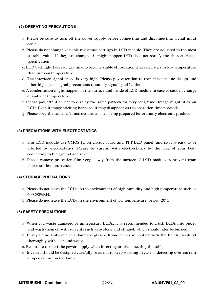### **(2) OPERATING PRECAUTIONS**

- a. Please be sure to turn off the power supply before connecting and disconnecting signal input cable.
- b. Please do not change variable resistance settings in LCD module. They are adjusted to the most suitable value. If they are changed, it might happen LCD does not satisfy the characteristics specification.
- c. LCD backlight takes longer time to become stable of radiation characteristics in low temperature than in room temperature.
- d. The interface signal speed is very high. Please pay attention to transmission line design and other high speed signal precautions to satisfy signal specification.
- e. A condensation might happen on the surface and inside of LCD module in case of sudden change of ambient temperature.
- f. Please pay attention not to display the same pattern for very long time. Image might stick on LCD. Even if image sticking happens, it may disappear as the operation time proceeds.
- g. Please obey the same safe instructions as ones being prepared for ordinary electronic products.

#### **(3) PRECAUTIONS WITH ELECTROSTATICS**

- a. This LCD module use CMOS-IC on circuit board and TFT-LCD panel, and so it is easy to be affected by electrostatics. Please be careful with electrostatics by the way of your body connecting to the ground and so on.
- b. Please remove protection film very slowly from the surface of LCD module to prevent from electrostatics occurrence.

### **(4) STORAGE PRECAUTIONS**

- a. Please do not leave the LCDs in the environment of high humidity and high temperature such as 60°C90%RH.
- b. Please do not leave the LCDs in the environment of low temperature; below -20°C.

#### **(5) SAFETY PRECAUTIONS**

- a. When you waste damaged or unnecessary LCDs, it is recommended to crush LCDs into pieces and wash them off with solvents such as acetone and ethanol, which should later be burned.
- b. If any liquid leaks out of a damaged glass cell and comes in contact with the hands, wash off thoroughly with soap and water.
- c. Be sure to turn off the power supply when inserting or disconnecting the cable.
- d. Inverter should be designed carefully so as not to keep working in case of detecting over current or open circuit on the lamp.